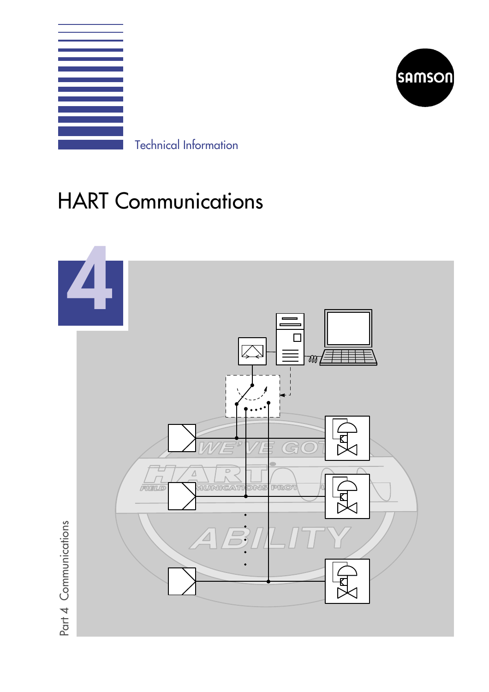



Technical Information

# HART Communications

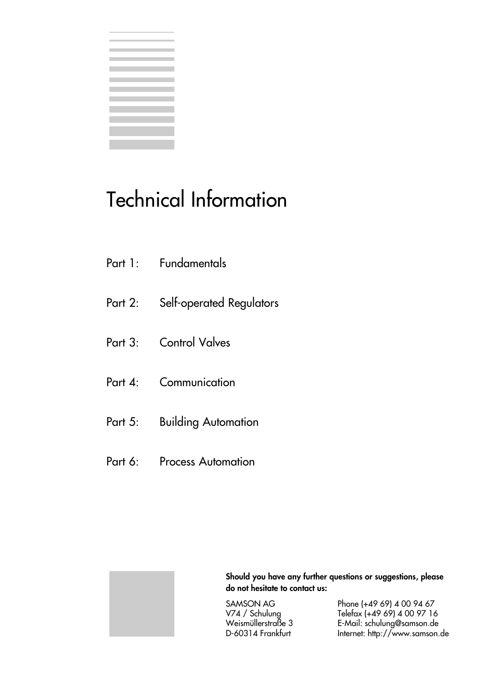|  | the control of the control of the control of the control of the control of |   |
|--|----------------------------------------------------------------------------|---|
|  |                                                                            | í |
|  | the control of the control of the control of the control of the            |   |
|  |                                                                            |   |
|  |                                                                            |   |
|  |                                                                            |   |
|  |                                                                            |   |
|  |                                                                            |   |
|  |                                                                            |   |
|  |                                                                            |   |
|  |                                                                            |   |
|  |                                                                            |   |
|  |                                                                            |   |
|  |                                                                            |   |
|  |                                                                            |   |
|  |                                                                            |   |
|  |                                                                            |   |

# Technical Information

- Part 2: Self-operated Regulators
- Part 3: Control Valves
- Part 4: Communication
- Part 5: Building Automation
- Part 6: Process Automation



Should you have any further questions or suggestions, please do not hesitate to contact us:

SAMSON AG Phone (+49 69) 4 00 94 67<br>V74 / Schulung Telefax (+49 69) 4 00 97 16<br>Weismüllerstraße 3 E-Mail: schulung@samson.de Telefax (+49 69) 4 00 97 16 Weismüllerstraße 3 E-Mail: schulung@samson.de Internet: http://www.samson.de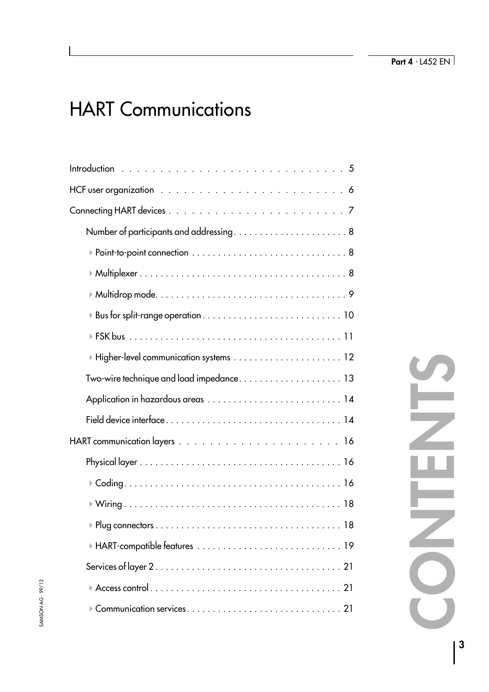# HART Communications

| $\blacktriangleright$ Higher-level communication systems $\,\dots\,\dots\,\dots\,\dots\,\dots\,\dots\,\dots\,1$ 2 |
|-------------------------------------------------------------------------------------------------------------------|
|                                                                                                                   |
|                                                                                                                   |
|                                                                                                                   |
|                                                                                                                   |
|                                                                                                                   |
|                                                                                                                   |
|                                                                                                                   |
|                                                                                                                   |
|                                                                                                                   |
|                                                                                                                   |
|                                                                                                                   |
|                                                                                                                   |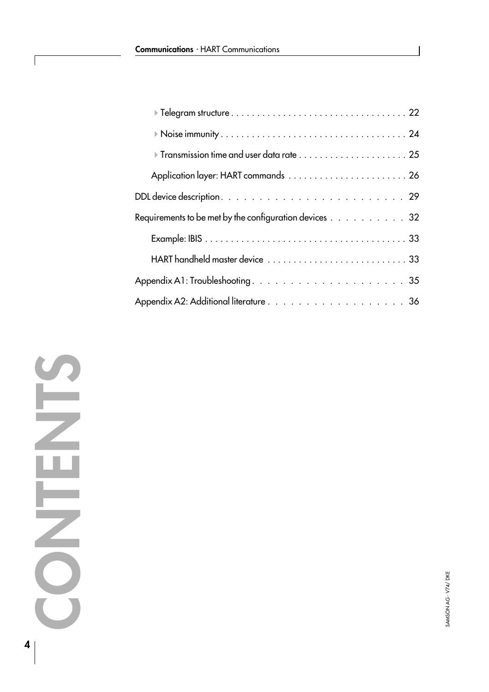| Requirements to be met by the configuration devices 32 |
|--------------------------------------------------------|
|                                                        |
|                                                        |
|                                                        |
|                                                        |

ſ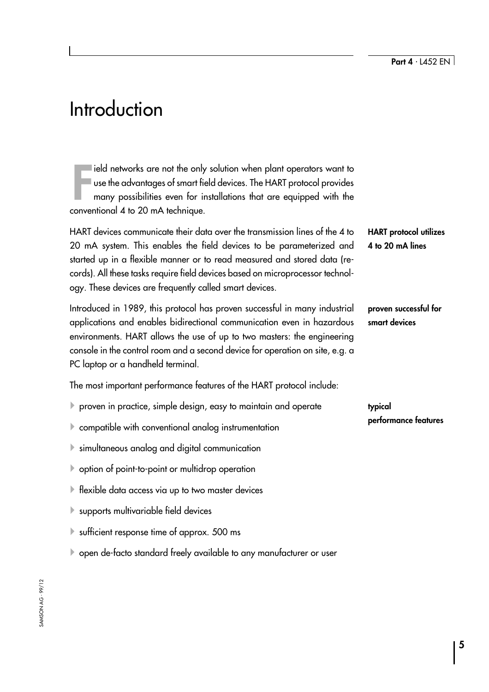# <span id="page-4-0"></span>**Introduction**

Field networks are not the only<br>use the advantages of smart fiver<br>many possibilities even for in<br>conventional 4 to 20 mA technique. ield networks are not the only solution when plant operators want to use the advantages of smart field devices. The HART protocol provides many possibilities even for installations that are equipped with the

HART devices communicate their data over the transmission lines of the 4 to 20 mA system. This enables the field devices to be parameterized and started up in a flexible manner or to read measured and stored data (records). All these tasks require field devices based on microprocessor technology. These devices are frequently called smart devices.

Introduced in 1989, this protocol has proven successful in many industrial applications and enables bidirectional communication even in hazardous environments. HART allows the use of up to two masters: the engineering console in the control room and a second device for operation on site, e.g. a PC laptop or a handheld terminal.

The most important performance features of the HART protocol include:

- $\blacktriangleright$  proven in practice, simple design, easy to maintain and operate
- $\blacktriangleright$  compatible with conventional analog instrumentation
- $\blacktriangleright$  simultaneous analog and digital communication
- $\blacktriangleright$  option of point-to-point or multidrop operation
- $\blacktriangleright$  flexible data access via up to two master devices
- $\blacktriangleright$  supports multivariable field devices
- $\blacktriangleright$  sufficient response time of approx. 500 ms
- 4open de-facto standard freely available to any manufacturer or user

HART protocol utilizes 4 to 20 mA lines

proven successful for smart devices

typical performance features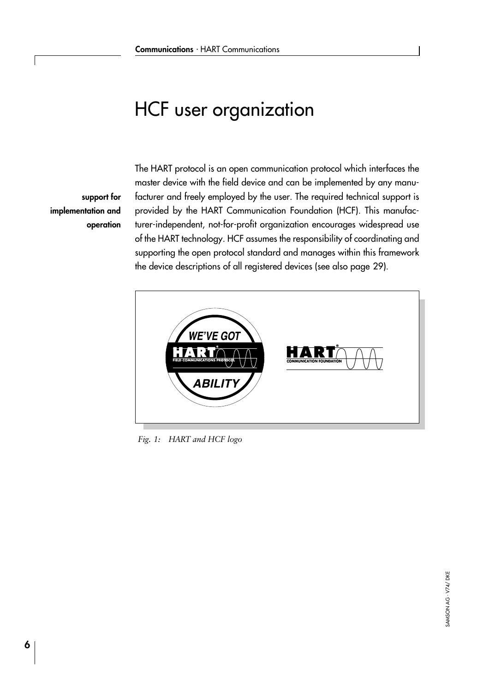# <span id="page-5-0"></span>HCF user organization

support for implementation and operation

The HART protocol is an open communication protocol which interfaces the master device with the field device and can be implemented by any manufacturer and freely employed by the user. The required technical support is provided by the HART Communication Foundation (HCF). This manufacturer-independent, not-for-profit organization encourages widespread use of the HART technology. HCF assumes the responsibility of coordinating and supporting the open protocol standard and manages within this framework the device descriptions of all registered devices (see also page [29](#page-28-0)).



Fig. 1: HART and HCF logo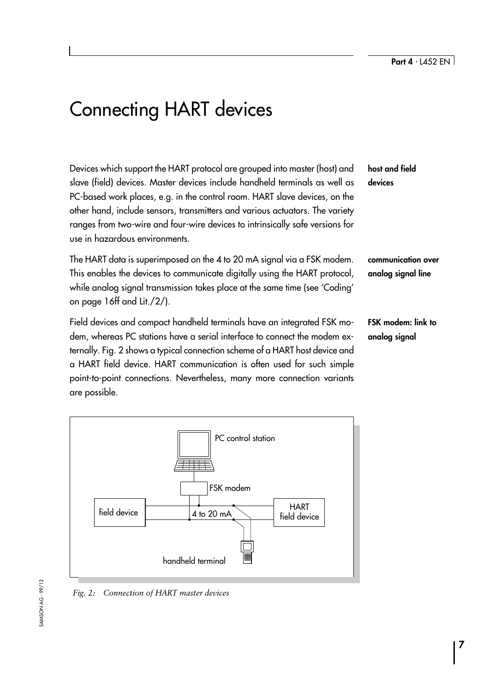# <span id="page-6-0"></span>Connecting HART devices

Devices which support the HART protocol are grouped into master (host) and slave (field) devices. Master devices include handheld terminals as well as PC-based work places, e.g. in the control room. HART slave devices, on the other hand, include sensors, transmitters and various actuators. The variety ranges from two-wire and four-wire devices to intrinsically safe versions for use in hazardous environments.

The HART data is superimposed on the 4 to 20 mA signal via a FSK modem. This enables the devices to communicate digitally using the HART protocol, while analog signal transmission takes place at the same time (see 'Coding' on page [16](#page-15-0)ff and Lit./2/).

Field devices and compact handheld terminals have an integrated FSK modem, whereas PC stations have a serial interface to connect the modem externally. Fig. 2 shows a typical connection scheme of a HART host device and a HART field device. HART communication is often used for such simple point-to-point connections. Nevertheless, many more connection variants are possible.

# host and field devices

communication over analog signal line

FSK modem: link to analog signal



Fig. 2: Connection of HART master devices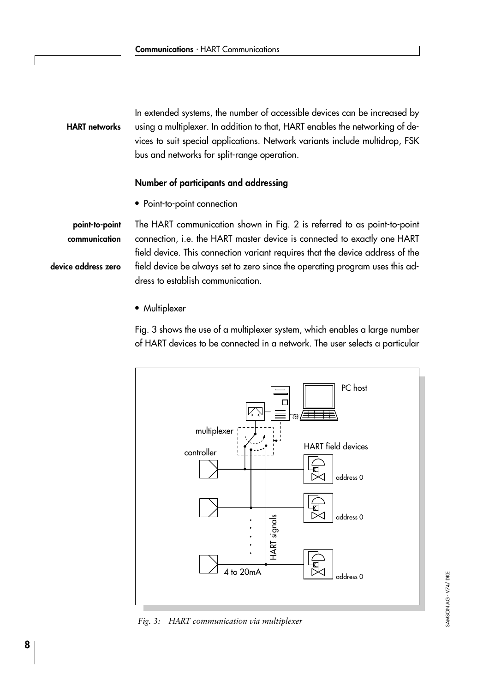## HART networks

<span id="page-7-0"></span>In extended systems, the number of accessible devices can be increased by using a multiplexer. In addition to that, HART enables the networking of devices to suit special applications. Network variants include multidrop, FSK bus and networks for split-range operation.

## Number of participants and addressing

• Point-to-point connection

The HART communication shown in Fig. 2 is referred to as point-to-point connection, i.e. the HART master device is connected to exactly one HART field device. This connection variant requires that the device address of the field device be always set to zero since the operating program uses this address to establish communication. device address zero point-to-point communication

• Multiplexer

Fig. 3 shows the use of a multiplexer system, which enables a large number of HART devices to be connected in a network. The user selects a particular



Fig. 3: HART communication via multiplexer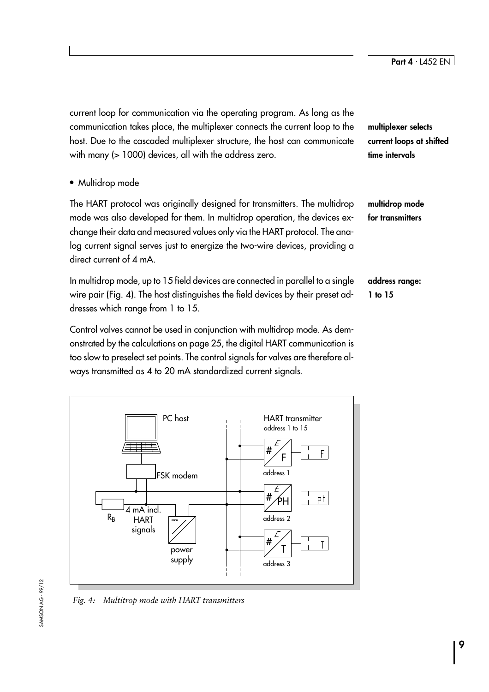<span id="page-8-0"></span>current loop for communication via the operating program. As long as the communication takes place, the multiplexer connects the current loop to the host. Due to the cascaded multiplexer structure, the host can communicate with many (> 1000) devices, all with the address zero.

• Multidrop mode

The HART protocol was originally designed for transmitters. The multidrop mode was also developed for them. In multidrop operation, the devices exchange their data and measured values only via the HART protocol. The analog current signal serves just to energize the two-wire devices, providing a direct current of 4 mA

In multidrop mode, up to 15 field devices are connected in parallel to a single wire pair (Fig. 4). The host distinguishes the field devices by their preset addresses which range from 1 to 15.

Control valves cannot be used in conjunction with multidrop mode. As demonstrated by the calculations on page [25](#page-24-0), the digital HART communication is too slow to preselect set points. The control signals for valves are therefore always transmitted as 4 to 20 mA standardized current signals.



Fig. 4: Multitrop mode with HART transmitters

multiplexer selects current loops at shifted time intervals

multidrop mode for transmitters

address range: 1 to 15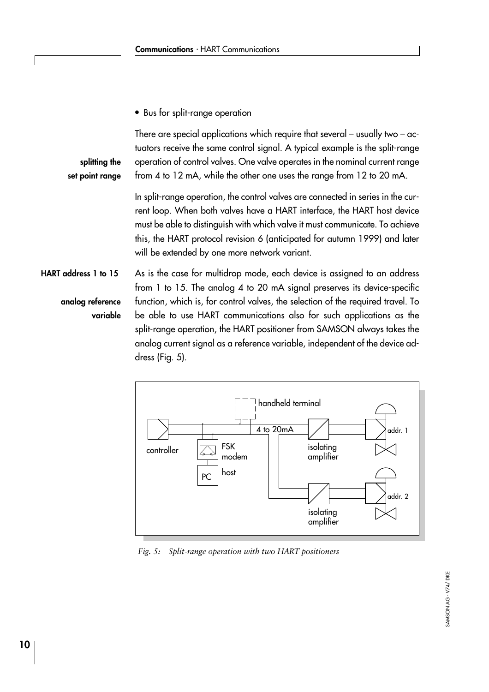<span id="page-9-0"></span>• Bus for split-range operation

There are special applications which require that several  $-$  usually two  $-$  actuators receive the same control signal. A typical example is the split-range operation of control valves. One valve operates in the nominal current range from 4 to 12 mA, while the other one uses the range from 12 to 20 mA. splitting the set point range

> In split-range operation, the control valves are connected in series in the current loop. When both valves have a HART interface, the HART host device must be able to distinguish with which valve it must communicate. To achieve this, the HART protocol revision 6 (anticipated for autumn 1999) and later will be extended by one more network variant.

As is the case for multidrop mode, each device is assigned to an address from 1 to 15. The analog 4 to 20 mA signal preserves its device-specific function, which is, for control valves, the selection of the required travel. To be able to use HART communications also for such applications as the split-range operation, the HART positioner from SAMSON always takes the analog current signal as a reference variable, independent of the device address (Fig. 5). HART address 1 to 15 analog reference variable



Fig. 5: Split-range operation with two HART positioners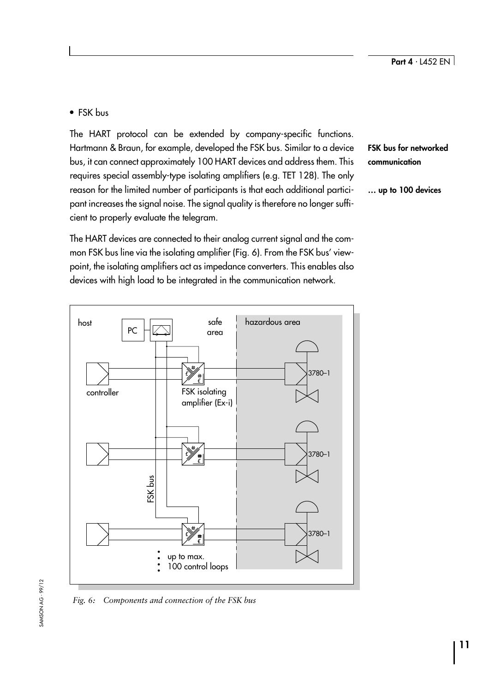## <span id="page-10-0"></span>• FSK bus

The HART protocol can be extended by company-specific functions. Hartmann & Braun, for example, developed the FSK bus. Similar to a device bus, it can connect approximately 100 HART devices and address them. This requires special assembly-type isolating amplifiers (e.g. TET 128). The only reason for the limited number of participants is that each additional participant increases the signal noise. The signal quality is therefore no longer sufficient to properly evaluate the telegram.

The HART devices are connected to their analog current signal and the common FSK bus line via the isolating amplifier (Fig. 6). From the FSK bus' viewpoint, the isolating amplifiers act as impedance converters. This enables also devices with high load to be integrated in the communication network.



FSK bus for networked communication

... up to 100 devices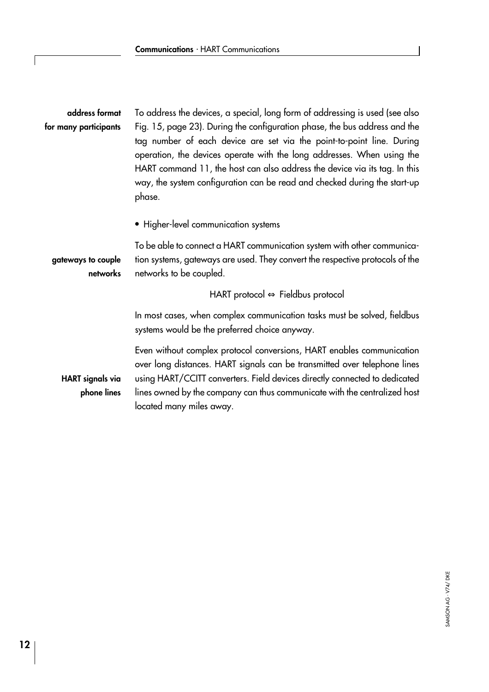| To address the devices, a special, long form of addressing is used (see also                                                                                                                                                                                                                                                                                                                       |
|----------------------------------------------------------------------------------------------------------------------------------------------------------------------------------------------------------------------------------------------------------------------------------------------------------------------------------------------------------------------------------------------------|
| Fig. 15, page 23). During the configuration phase, the bus address and the<br>tag number of each device are set via the point-to-point line. During<br>operation, the devices operate with the long addresses. When using the<br>HART command 11, the host can also address the device via its tag. In this<br>way, the system configuration can be read and checked during the start-up<br>phase. |
| • Higher-level communication systems                                                                                                                                                                                                                                                                                                                                                               |
| To be able to connect a HART communication system with other communica-<br>tion systems, gateways are used. They convert the respective protocols of the<br>networks to be coupled.                                                                                                                                                                                                                |
| HART protocol $\Leftrightarrow$ Fieldbus protocol                                                                                                                                                                                                                                                                                                                                                  |
| In most cases, when complex communication tasks must be solved, fieldbus<br>systems would be the preferred choice anyway.                                                                                                                                                                                                                                                                          |
| Even without complex protocol conversions, HART enables communication<br>over long distances. HART signals can be transmitted over telephone lines<br>using HART/CCITT converters. Field devices directly connected to dedicated<br>lines owned by the company can thus communicate with the centralized host<br>located many miles away.                                                          |
|                                                                                                                                                                                                                                                                                                                                                                                                    |

<span id="page-11-0"></span> $\sqrt{ }$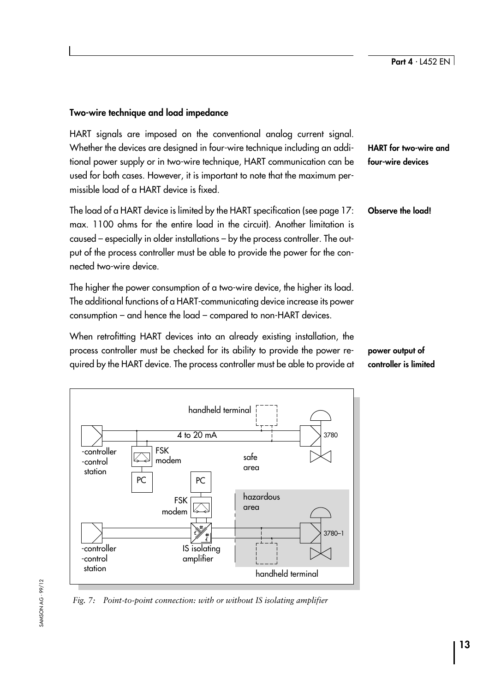## <span id="page-12-0"></span>Two-wire technique and load impedance

HART signals are imposed on the conventional analog current signal. Whether the devices are designed in four-wire technique including an additional power supply or in two-wire technique, HART communication can be used for both cases. However, it is important to note that the maximum permissible load of a HART device is fixed.

The load of a HART device is limited by the HART specification (see page [17:](#page-16-0) max. 1100 ohms for the entire load in the circuit). Another limitation is caused – especially in older installations – by the process controller. The output of the process controller must be able to provide the power for the connected two-wire device.

The higher the power consumption of a two-wire device, the higher its load. The additional functions of a HART-communicating device increase its power consumption  $-$  and hence the load  $-$  compared to non-HART devices.

When retrofitting HART devices into an already existing installation, the process controller must be checked for its ability to provide the power required by the HART device. The process controller must be able to provide at



Fig. 7: Point-to-point connection: with or without IS isolating amplifier

HART for two-wire and four-wire devices

Observe the load!

power output of controller is limited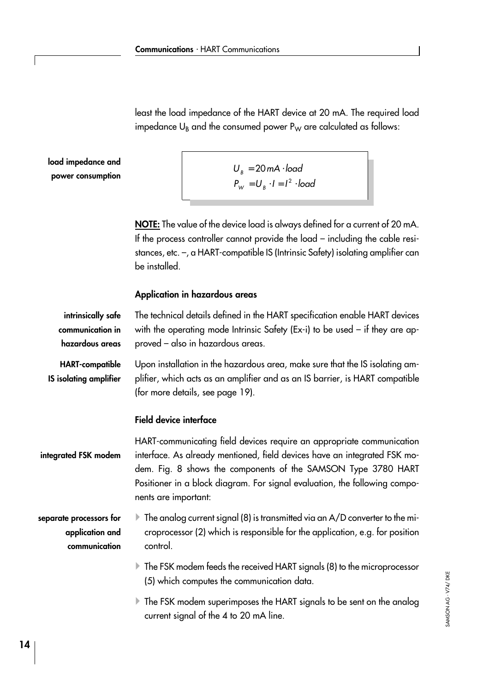<span id="page-13-0"></span>least the load impedance of the HART device at 20 mA. The required load impedance  $U_B$  and the consumed power  $P_W$  are calculated as follows:

load impedance and power consumption

| $U_{\rm R} = 20$ mA $\cdot$ load           |
|--------------------------------------------|
|                                            |
| $P_{W} = U_{R} \cdot I = I^{2} \cdot load$ |
|                                            |

NOTE: The value of the device load is always defined for a current of 20 mA. If the process controller cannot provide the load - including the cable resistances, etc. -, a HART-compatible IS (Intrinsic Safety) isolating amplifier can be installed.

## Application in hazardous areas

| intrinsically safe<br>communication in<br>hazardous areas   | The technical details defined in the HART specification enable HART devices<br>with the operating mode Intrinsic Safety (Ex-i) to be used $-$ if they are ap-<br>proved - also in hazardous areas.                                                                                                                        |
|-------------------------------------------------------------|---------------------------------------------------------------------------------------------------------------------------------------------------------------------------------------------------------------------------------------------------------------------------------------------------------------------------|
| <b>HART-compatible</b><br><b>IS isolating amplifier</b>     | Upon installation in the hazardous area, make sure that the IS isolating am-<br>plifier, which acts as an amplifier and as an IS barrier, is HART compatible<br>(for more details, see page 19).                                                                                                                          |
|                                                             | <b>Field device interface</b>                                                                                                                                                                                                                                                                                             |
| integrated FSK modem                                        | HART-communicating field devices require an appropriate communication<br>interface. As already mentioned, field devices have an integrated FSK mo-<br>dem. Fig. 8 shows the components of the SAMSON Type 3780 HART<br>Positioner in a block diagram. For signal evaluation, the following compo-<br>nents are important: |
| separate processors for<br>application and<br>communication | $\blacktriangleright$ The analog current signal (8) is transmitted via an A/D converter to the mi-<br>croprocessor (2) which is responsible for the application, e.g. for position<br>control.                                                                                                                            |
|                                                             | $\blacktriangleright$ The FSK modem feeds the received HART signals (8) to the microprocessor<br>(5) which computes the communication data.                                                                                                                                                                               |
|                                                             | $\blacktriangleright$ The FSK modem superimposes the HART signals to be sent on the analog<br>current signal of the 4 to 20 mA line.                                                                                                                                                                                      |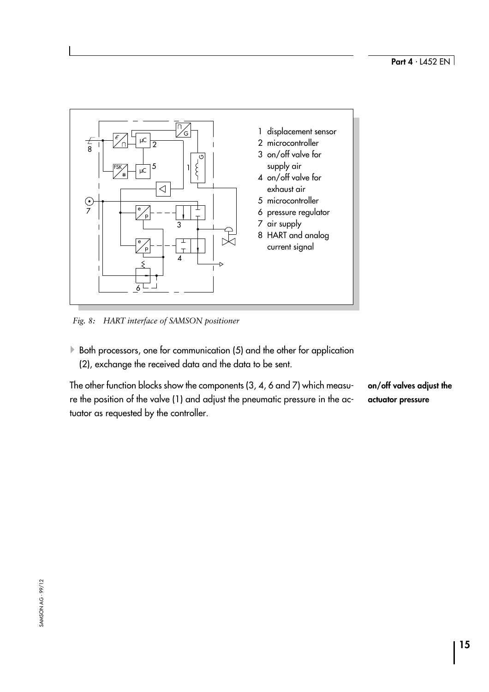<span id="page-14-0"></span>

Fig. 8: HART interface of SAMSON positioner

 $\blacktriangleright$  Both processors, one for communication (5) and the other for application (2), exchange the received data and the data to be sent.

The other function blocks show the components (3, 4, 6 and 7) which measure the position of the valve (1) and adjust the pneumatic pressure in the actuator as requested by the controller. on/off valves adjust the actuator pressure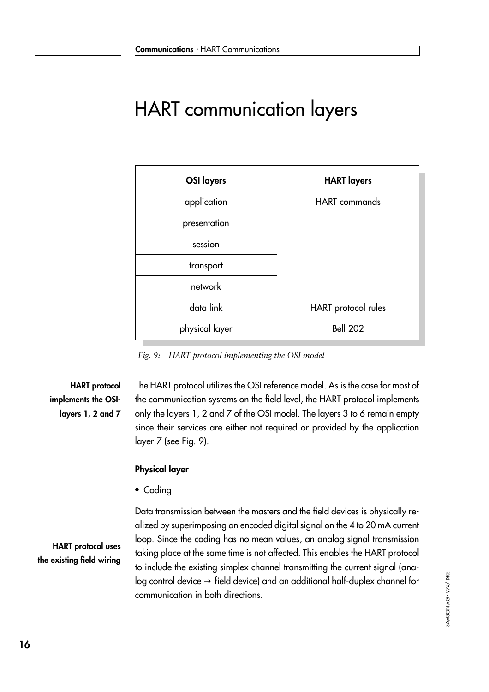# <span id="page-15-0"></span>HART communication layers

| <b>OSI</b> layers | <b>HART</b> layers   |
|-------------------|----------------------|
| application       | <b>HART</b> commands |
| presentation      |                      |
| session           |                      |
| transport         |                      |
| network           |                      |
| data link         | HART protocol rules  |
| physical layer    | <b>Bell 202</b>      |

Fig. 9: HART protocol implementing the OSI model

# HART protocol implements the OSIlayers 1, 2 and 7

The HART protocol utilizes the OSI reference model. As is the case for most of the communication systems on the field level, the HART protocol implements only the layers 1, 2 and 7 of the OSI model. The layers 3 to 6 remain empty since their services are either not required or provided by the application layer 7 (see Fig. 9).

## Physical layer

• Codina

HART protocol uses the existing field wiring

Data transmission between the masters and the field devices is physically realized by superimposing an encoded digital signal on the 4 to 20 mA current loop. Since the coding has no mean values, an analog signal transmission taking place at the same time is not affected. This enables the HART protocol to include the existing simplex channel transmitting the current signal (ana $log$  control device  $\rightarrow$  field device) and an additional half-duplex channel for communication in both directions.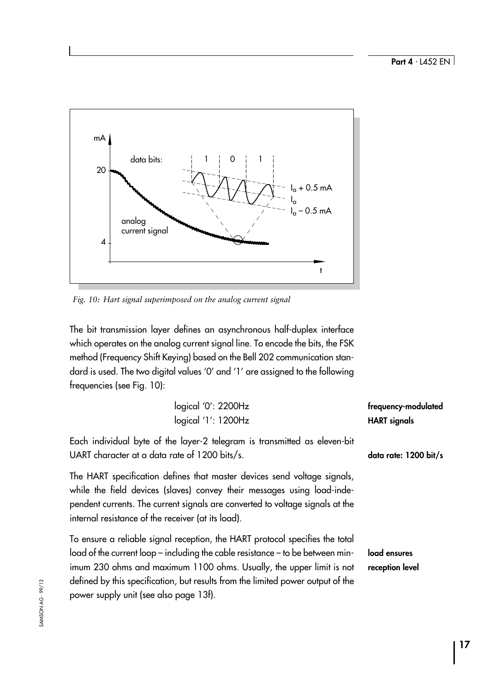<span id="page-16-0"></span>

Fig. 10: Hart signal superimposed on the analog current signal

The bit transmission layer defines an asynchronous half-duplex interface which operates on the analog current signal line. To encode the bits, the FSK method (Frequency Shift Keying) based on the Bell 202 communication standard is used. The two digital values 'O' and '1' are assigned to the following frequencies (see Fig. 10):

| logical '0': 2200Hz<br>logical '1': 1200Hz                                                                                                                                                                                                                                                                                                                          | frequency-modulated<br><b>HART</b> signals |
|---------------------------------------------------------------------------------------------------------------------------------------------------------------------------------------------------------------------------------------------------------------------------------------------------------------------------------------------------------------------|--------------------------------------------|
| Each individual byte of the layer-2 telegram is transmitted as eleven-bit<br>UART character at a data rate of 1200 bits/s.                                                                                                                                                                                                                                          | data rate: 1200 bit/s                      |
| The HART specification defines that master devices send voltage signals,<br>while the field devices (slaves) convey their messages using load-inde-<br>pendent currents. The current signals are converted to voltage signals at the<br>internal resistance of the receiver (at its load).                                                                          |                                            |
| To ensure a reliable signal reception, the HART protocol specifies the total<br>load of the current loop – including the cable resistance – to be between min-<br>imum 230 ohms and maximum 1100 ohms. Usually, the upper limit is not<br>defined by this specification, but results from the limited power output of the<br>power supply unit (see also page 13f). | load ensures<br>reception level            |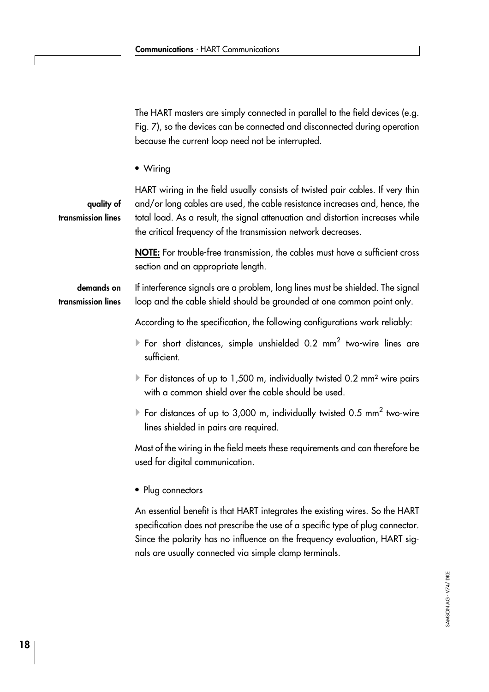<span id="page-17-0"></span>The HART masters are simply connected in parallel to the field devices (e.g. Fig. 7), so the devices can be connected and disconnected during operation because the current loop need not be interrupted.

• Wiring

quality of transmission lines

HART wiring in the field usually consists of twisted pair cables. If very thin and/or long cables are used, the cable resistance increases and, hence, the total load. As a result, the signal attenuation and distortion increases while the critical frequency of the transmission network decreases.

NOTE: For trouble-free transmission, the cables must have a sufficient cross section and an appropriate length.

If interference signals are a problem, long lines must be shielded. The signal loop and the cable shield should be grounded at one common point only. demands on transmission lines

According to the specification, the following configurations work reliably:

- For short distances, simple unshielded 0.2 mm<sup>2</sup> two-wire lines are sufficient.
- $\blacktriangleright$  For distances of up to 1,500 m, individually twisted 0.2 mm<sup>2</sup> wire pairs with a common shield over the cable should be used.
- $\blacktriangleright$  For distances of up to 3,000 m, individually twisted 0.5 mm<sup>2</sup> two-wire lines shielded in pairs are required.

Most of the wiring in the field meets these requirements and can therefore be used for digital communication.

• Plug connectors

An essential benefit is that HART integrates the existing wires. So the HART specification does not prescribe the use of a specific type of plug connector. Since the polarity has no influence on the frequency evaluation, HART signals are usually connected via simple clamp terminals.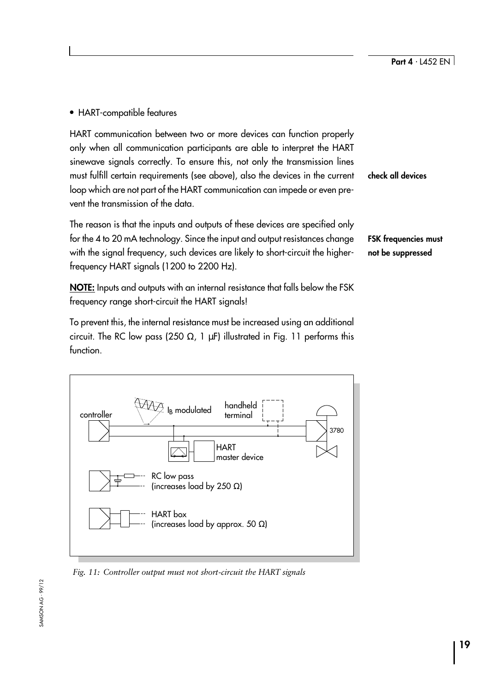<span id="page-18-0"></span>HART-compatible features

HART communication between two or more devices can function properly only when all communication participants are able to interpret the HART sinewave signals correctly. To ensure this, not only the transmission lines must fulfill certain requirements (see above), also the devices in the current loop which are not part of the HART communication can impede or even prevent the transmission of the data.

The reason is that the inputs and outputs of these devices are specified only for the 4 to 20 mA technology. Since the input and output resistances change with the signal frequency, such devices are likely to short-circuit the higherfrequency HART signals (1200 to 2200 Hz).

NOTE: Inputs and outputs with an internal resistance that falls below the FSK frequency range short-circuit the HART signals!

To prevent this, the internal resistance must be increased using an additional circuit. The RC low pass (250  $\Omega$ , 1  $\mu$ F) illustrated in Fig. 11 performs this function.



Fig. 11: Controller output must not short-circuit the HART signals

check all devices

FSK frequencies must not be suppressed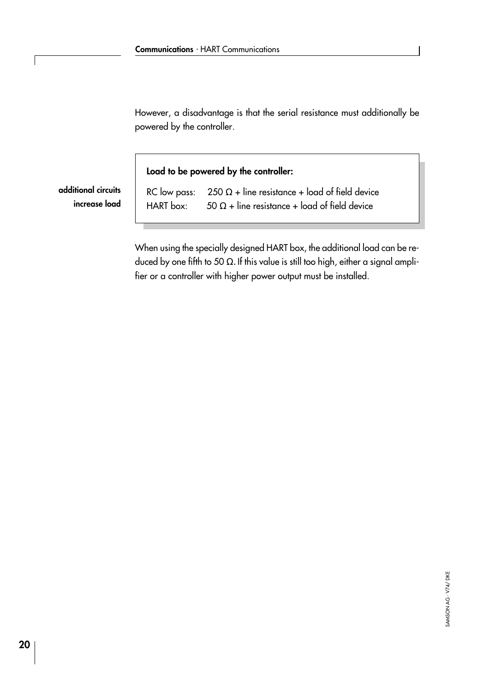However, a disadvantage is that the serial resistance must additionally be powered by the controller.

Load to be powered by the controller:

additional circuits increase load RC low pass:  $250 \Omega +$  line resistance + load of field device HART box:  $50 \Omega + \text{line resistance} + \text{load of field device}$ 

When using the specially designed HART box, the additional load can be reduced by one fifth to 50  $\Omega$ . If this value is still too high, either a signal amplifier or a controller with higher power output must be installed.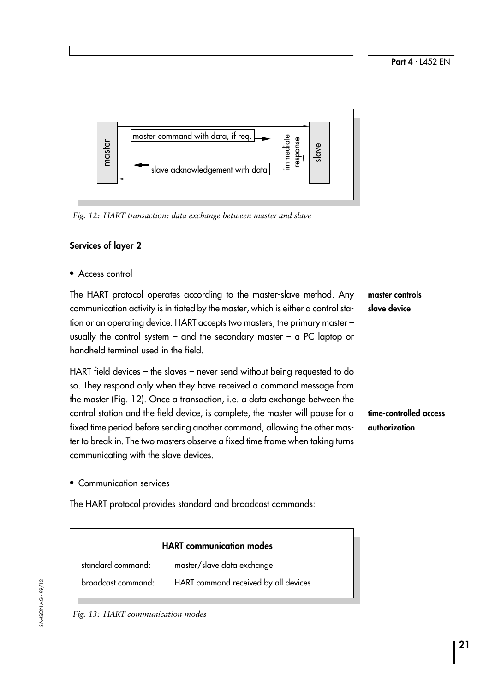<span id="page-20-0"></span>

## Services of layer 2

Access control

The HART protocol operates according to the master-slave method. Any communication activity is initiated by the master, which is either a control station or an operating device. HART accepts two masters, the primary master usually the control system  $-$  and the secondary master  $-$  a PC laptop or handheld terminal used in the field.

HART field devices  $-$  the slaves  $-$  never send without being requested to do so. They respond only when they have received a command message from the master (Fig. 12). Once a transaction, i.e. a data exchange between the control station and the field device, is complete, the master will pause for a fixed time period before sending another command, allowing the other master to break in. The two masters observe a fixed time frame when taking turns communicating with the slave devices.

time-controlled access authorization

master controls slave device

Communication services

The HART protocol provides standard and broadcast commands:

# HART communication modes standard command: master/slave data exchange broadcast command: HART command received by all devices

Fig. 13: HART communication modes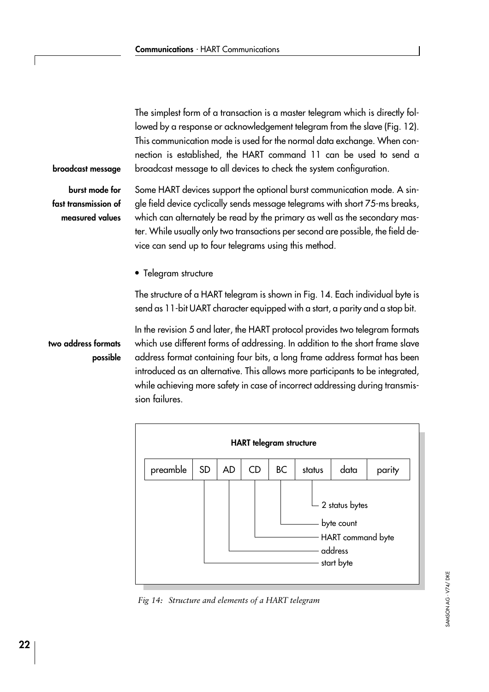<span id="page-21-0"></span>The simplest form of a transaction is a master telegram which is directly followed by a response or acknowledgement telegram from the slave (Fig. 12). This communication mode is used for the normal data exchange. When connection is established, the HART command 11 can be used to send a broadcast message to all devices to check the system configuration.

broadcast message

burst mode for fast transmission of measured values

Some HART devices support the optional burst communication mode. A single field device cyclically sends message telegrams with short 75-ms breaks, which can alternately be read by the primary as well as the secondary master. While usually only two transactions per second are possible, the field device can send up to four telegrams using this method.

• Telegram structure

The structure of a HART telegram is shown in Fig. 14. Each individual byte is send as 11-bit UART character equipped with a start, a parity and a stop bit.

two address formats possible In the revision 5 and later, the HART protocol provides two telegram formats which use different forms of addressing. In addition to the short frame slave address format containing four bits, a long frame address format has been introduced as an alternative. This allows more participants to be integrated, while achieving more safety in case of incorrect addressing during transmission failures.



Fig 14: Structure and elements of a HART telegram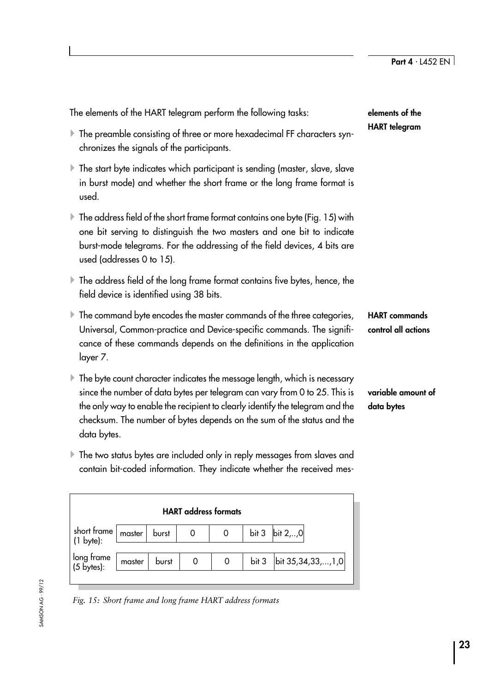<span id="page-22-0"></span>

| The elements of the HART telegram perform the following tasks:                                                                                                                                                                                                                                                                          | elements of the                             |  |
|-----------------------------------------------------------------------------------------------------------------------------------------------------------------------------------------------------------------------------------------------------------------------------------------------------------------------------------------|---------------------------------------------|--|
| The preamble consisting of three or more hexadecimal FF characters syn-<br>chronizes the signals of the participants.                                                                                                                                                                                                                   | <b>HART</b> telegram                        |  |
| The start byte indicates which participant is sending (master, slave, slave<br>in burst mode) and whether the short frame or the long frame format is<br>used.                                                                                                                                                                          |                                             |  |
| $\blacktriangleright$ The address field of the short frame format contains one byte (Fig. 15) with<br>one bit serving to distinguish the two masters and one bit to indicate<br>burst-mode telegrams. For the addressing of the field devices, 4 bits are<br>used (addresses 0 to 15).                                                  |                                             |  |
| $\blacktriangleright$ The address field of the long frame format contains five bytes, hence, the<br>field device is identified using 38 bits.                                                                                                                                                                                           |                                             |  |
| $\blacktriangleright$ The command byte encodes the master commands of the three categories,<br>Universal, Common-practice and Device-specific commands. The signifi-<br>cance of these commands depends on the definitions in the application<br>layer 7.                                                                               | <b>HART</b> commands<br>control all actions |  |
| The byte count character indicates the message length, which is necessary<br>Þ.<br>since the number of data bytes per telegram can vary from 0 to 25. This is<br>the only way to enable the recipient to clearly identify the telegram and the<br>checksum. The number of bytes depends on the sum of the status and the<br>data bytes. | variable amount of<br>data bytes            |  |
| $\blacktriangleright$ The two status bytes are included only in reply messages from slaves and<br>contain bit-coded information. They indicate whether the received mes-                                                                                                                                                                |                                             |  |

|                                         |        |       | <b>HART</b> address formats |   |                  |                     |
|-----------------------------------------|--------|-------|-----------------------------|---|------------------|---------------------|
| short frame $ $<br>$(1 \text{ byte})$ : | master | burst |                             | 0 |                  | bit 3 $\ $ bit 2,,0 |
| long frame<br>(5 bytes):                | master | burst |                             | 0 | bit <sub>3</sub> | bit 35,34,33,, 1,0  |
|                                         |        |       |                             |   |                  |                     |

**SAMSON AG - 99/12** 

SAMSON AG ⋅ 99/12

Fig. 15: Short frame and long frame HART address formats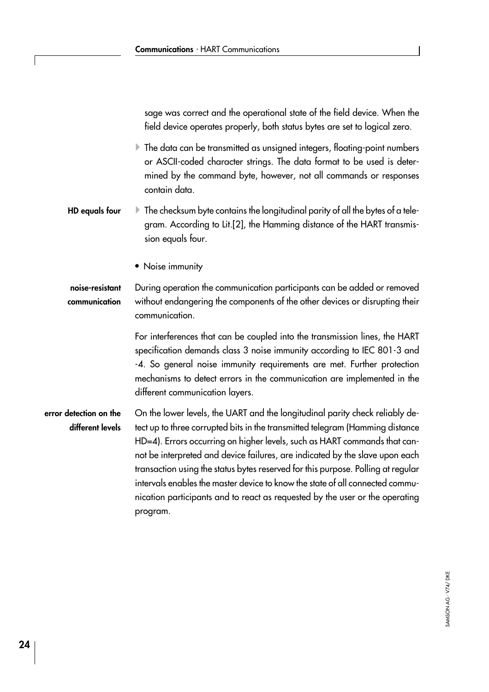<span id="page-23-0"></span>sage was correct and the operational state of the field device. When the field device operates properly, both status bytes are set to logical zero.

 $\blacktriangleright$  The data can be transmitted as unsigned integers, floating-point numbers or ASCII-coded character strings. The data format to be used is determined by the command byte, however, not all commands or responses contain data.

- $\blacktriangleright$  The checksum byte contains the longitudinal parity of all the bytes of a telegram. According to Lit.[2], the Hamming distance of the HART transmission equals four. HD equals four
	- Noise immunity

#### During operation the communication participants can be added or removed without endangering the components of the other devices or disrupting their communication. noise-resistant communication

For interferences that can be coupled into the transmission lines, the HART specification demands class 3 noise immunity according to IEC 801-3 and -4. So general noise immunity requirements are met. Further protection mechanisms to detect errors in the communication are implemented in the different communication layers.

## On the lower levels, the UART and the longitudinal parity check reliably detect up to three corrupted bits in the transmitted telegram (Hamming distance HD=4). Errors occurring on higher levels, such as HART commands that cannot be interpreted and device failures, are indicated by the slave upon each transaction using the status bytes reserved for this purpose. Polling at regular intervals enables the master device to know the state of all connected communication participants and to react as requested by the user or the operating program. error detection on the different levels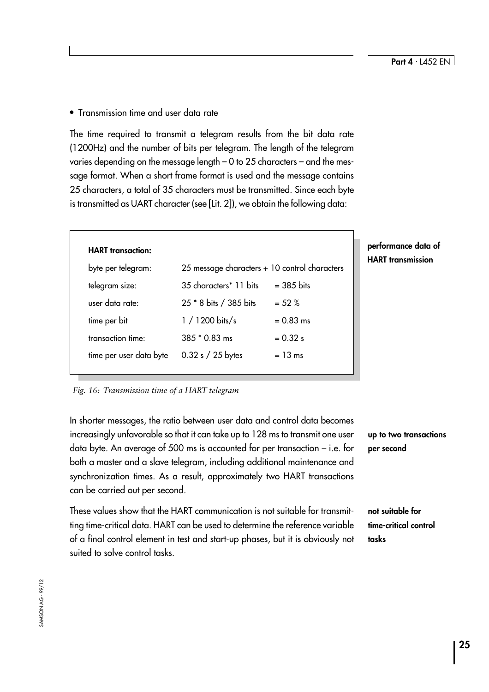<span id="page-24-0"></span>• Transmission time and user data rate

The time required to transmit a telegram results from the bit data rate (1200Hz) and the number of bits per telegram. The length of the telegram varies depending on the message length  $-$  0 to 25 characters  $-$  and the message format. When a short frame format is used and the message contains 25 characters, a total of 35 characters must be transmitted. Since each byte is transmitted as UART character (see [Lit. 2]), we obtain the following data:

| <b>HART</b> transaction: |                                               |              |
|--------------------------|-----------------------------------------------|--------------|
| byte per telegram:       | 25 message characters + 10 control characters |              |
| telegram size:           | 35 characters* 11 bits                        | $=$ 385 bits |
| user data rate:          | 25 * 8 bits / 385 bits                        | $= 52 %$     |
| time per bit             | $1/1200 \; \text{bits/s}$                     | $= 0.83$ ms  |
| transaction time:        | $385 * 0.83$ ms                               | $= 0.32$ s   |
| time per user data byte  | $0.32 s / 25$ bytes                           | $= 13$ ms    |
|                          |                                               |              |

## prmance data of **T** transmission

## Fig. 16: Transmission time of a HART telegram

In shorter messages, the ratio between user data and control data becomes increasingly unfavorable so that it can take up to 128 ms to transmit one user data byte. An average of 500 ms is accounted for per transaction  $-$  i.e. for both a master and a slave telegram, including additional maintenance and synchronization times. As a result, approximately two HART transactions can be carried out per second.

up to two transactions per second

These values show that the HART communication is not suitable for transmitting time-critical data. HART can be used to determine the reference variable of a final control element in test and start-up phases, but it is obviously not suited to solve control tasks.

not suitable for time-critical control tasks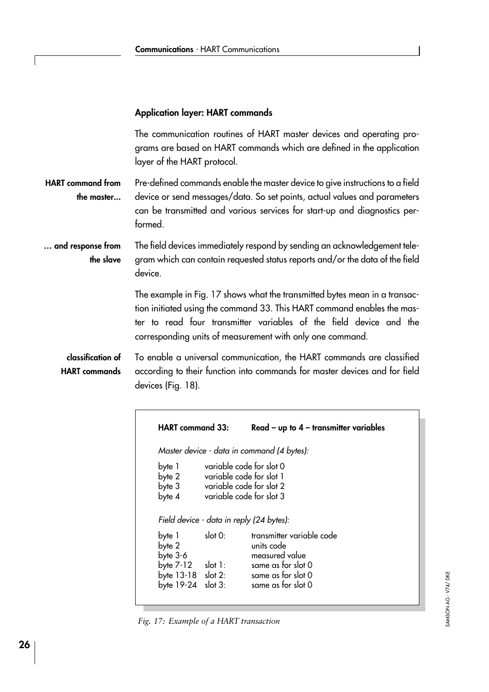## <span id="page-25-0"></span>Application layer: HART commands

The communication routines of HART master devices and operating programs are based on HART commands which are defined in the application layer of the HART protocol.

Pre-defined commands enable the master device to give instructions to a field device or send messages/data. So set points, actual values and parameters can be transmitted and various services for start-up and diagnostics performed. HART command from the master...

#### The field devices immediately respond by sending an acknowledgement telegram which can contain requested status reports and/or the data of the field device. ... and response from the slave

The example in Fig. 17 shows what the transmitted bytes mean in a transaction initiated using the command 33. This HART command enables the master to read four transmitter variables of the field device and the corresponding units of measurement with only one command.

To enable a universal communication, the HART commands are classified according to their function into commands for master devices and for field devices (Fig. 18). classification of HART commands

|                                          | Master device - data in command (4 bytes):                                                                   |
|------------------------------------------|--------------------------------------------------------------------------------------------------------------|
| byte 1<br>byte 2<br>byte 3<br>byte 4     | variable code for slot 0<br>variable code for slot 1<br>variable code for slot 2<br>variable code for slot 3 |
| Field device - data in reply (24 bytes): |                                                                                                              |

Fig. 17: Example of a HART transaction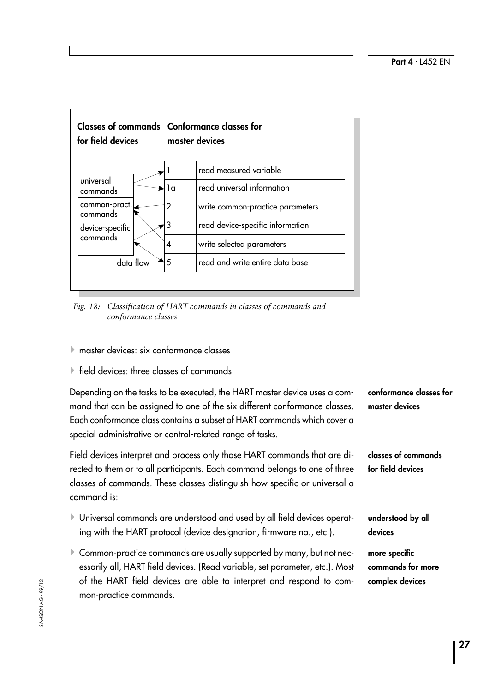<span id="page-26-0"></span>

Fig. 18: Classification of HART commands in classes of commands and conformance classes

- $\blacktriangleright$  master devices: six conformance classes
- $\blacktriangleright$  field devices: three classes of commands

Depending on the tasks to be executed, the HART master device uses a command that can be assigned to one of the six different conformance classes. Each conformance class contains a subset of HART commands which cover a special administrative or control-related range of tasks. conformance classes for master devices

Field devices interpret and process only those HART commands that are directed to them or to all participants. Each command belongs to one of three classes of commands. These classes distinguish how specific or universal a command is:

- 4Universal commands are understood and used by all field devices operating with the HART protocol (device designation, firmware no., etc.).
- Example 1 Common-practice commands are usually supported by many, but not necessarily all, HART field devices. (Read variable, set parameter, etc.). Most of the HART field devices are able to interpret and respond to common-practice commands.

classes of commands for field devices understood by all devices

more specific commands for more complex devices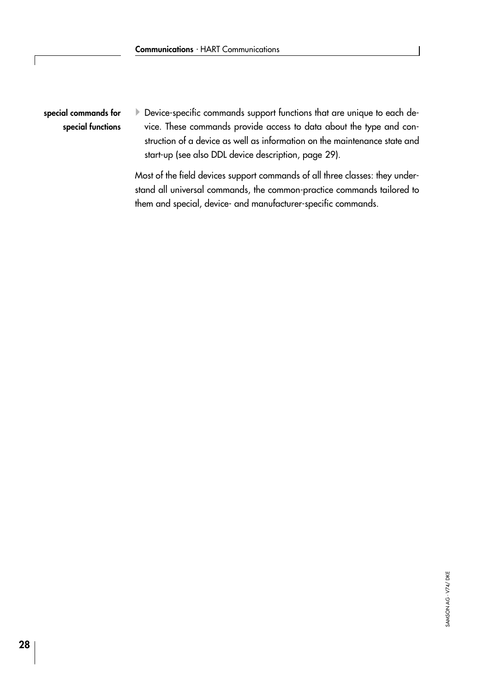▶ Device-specific commands support functions that are unique to each device. These commands provide access to data about the type and construction of a device as well as information on the maintenance state and start-up (see also DDL device description, page [29](#page-28-0)). special commands for special functions

> Most of the field devices support commands of all three classes: they understand all universal commands, the common-practice commands tailored to them and special, device- and manufacturer-specific commands.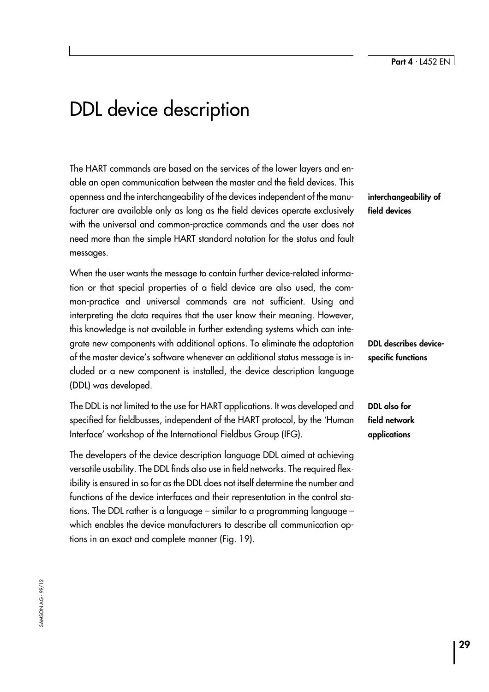# <span id="page-28-0"></span>DDL device description

The HART commands are based on the services of the lower layers and enable an open communication between the master and the field devices. This openness and the interchangeability of the devices independent of the manufacturer are available only as long as the field devices operate exclusively with the universal and common-practice commands and the user does not need more than the simple HART standard notation for the status and fault messages.

When the user wants the message to contain further device-related information or that special properties of a field device are also used, the common-practice and universal commands are not sufficient. Using and interpreting the data requires that the user know their meaning. However, this knowledge is not available in further extending systems which can integrate new components with additional options. To eliminate the adaptation of the master device's software whenever an additional status message is included or a new component is installed, the device description language (DDL) was developed.

The DDL is not limited to the use for HART applications. It was developed and specified for fieldbusses, independent of the HART protocol, by the 'Human Interface' workshop of the International Fieldbus Group (IFG).

The developers of the device description language DDL aimed at achieving versatile usability. The DDL finds also use in field networks. The required flexibility is ensured in so far as the DDL does not itself determine the number and functions of the device interfaces and their representation in the control stations. The DDL rather is a language  $-$  similar to a programming language  $$ which enables the device manufacturers to describe all communication options in an exact and complete manner (Fig. 19).

interchangeability of field devices

DDL describes devicespecific functions

DDL also for field network applications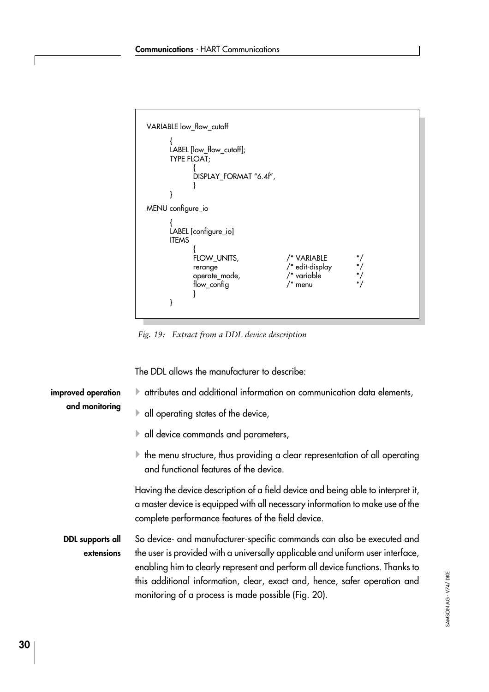```
VARIABLE low_flow_cutoff
       {
       LABEL [low_flow_cutoff];
       TYPE FLOAT;
              {
              DISPLAY_FORMAT "6.4f",
             }
       }
MENU configure_io
       {
       LABEL [configure_io]
       ITEMS
              {
             FLOW_UNITS, /* VARIABLE */<br>
rerange /* edit-display */<br>
operate_mode, /* variable */<br>
flow_config /* menu */
              rerange /* edit-display */
              operate_mode, /* variable */
              flow_config /* menu */
             }
       }
```
Fig. 19: Extract from a DDL device description

The DDL allows the manufacturer to describe:

| improved operation<br>and monitoring | A attributes and additional information on communication data elements,                                                                                                                                                                                                                                                                                                       |  |  |  |
|--------------------------------------|-------------------------------------------------------------------------------------------------------------------------------------------------------------------------------------------------------------------------------------------------------------------------------------------------------------------------------------------------------------------------------|--|--|--|
|                                      | $\blacktriangleright$ all operating states of the device,                                                                                                                                                                                                                                                                                                                     |  |  |  |
|                                      | $\blacktriangleright$ all device commands and parameters,                                                                                                                                                                                                                                                                                                                     |  |  |  |
|                                      | $\blacktriangleright$ the menu structure, thus providing a clear representation of all operating<br>and functional features of the device.                                                                                                                                                                                                                                    |  |  |  |
|                                      | Having the device description of a field device and being able to interpret it,<br>a master device is equipped with all necessary information to make use of the<br>complete performance features of the field device.                                                                                                                                                        |  |  |  |
| DDL supports all<br>extensions       | So device- and manufacturer-specific commands can also be executed and<br>the user is provided with a universally applicable and uniform user interface,<br>enabling him to clearly represent and perform all device functions. Thanks to<br>this additional information, clear, exact and, hence, safer operation and<br>monitoring of a process is made possible (Fig. 20). |  |  |  |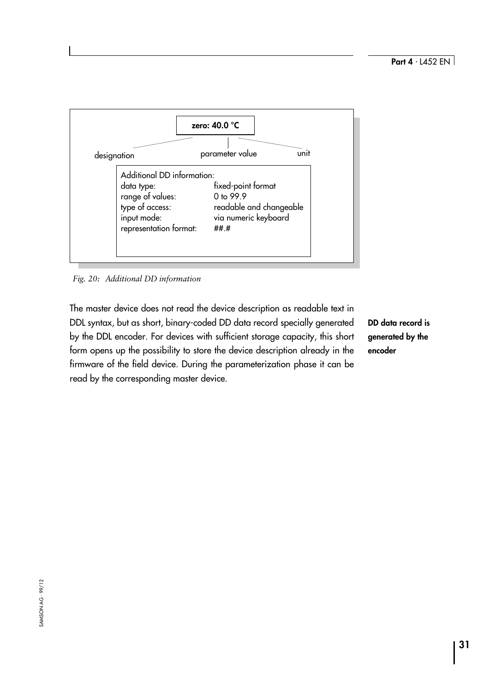<span id="page-30-0"></span>

Fig. 20: Additional DD information

The master device does not read the device description as readable text in DDL syntax, but as short, binary-coded DD data record specially generated by the DDL encoder. For devices with sufficient storage capacity, this short form opens up the possibility to store the device description already in the firmware of the field device. During the parameterization phase it can be read by the corresponding master device.

DD data record is generated by the encoder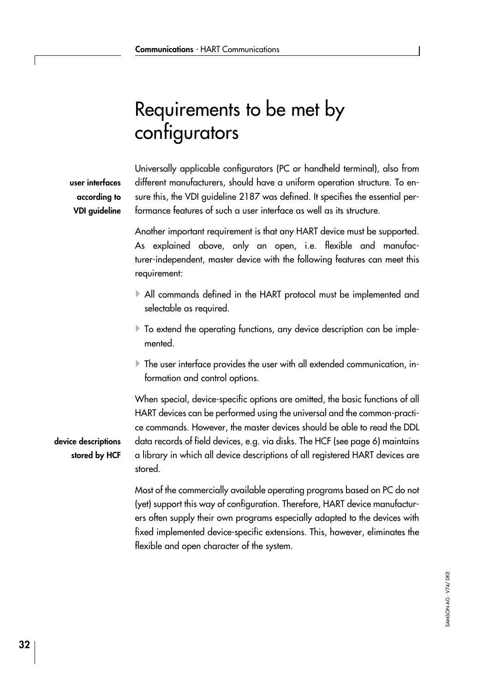# <span id="page-31-0"></span>Requirements to be met by configurators

Universally applicable configurators (PC or handheld terminal), also from different manufacturers, should have a uniform operation structure. To ensure this, the VDI guideline 2187 was defined. It specifies the essential performance features of such a user interface as well as its structure.

Another important requirement is that any HART device must be supported. As explained above, only an open, i.e. flexible and manufacturer-independent, master device with the following features can meet this requirement:

- 4All commands defined in the HART protocol must be implemented and selectable as required.
- $\blacktriangleright$  To extend the operating functions, any device description can be implemented.
- $\blacktriangleright$  The user interface provides the user with all extended communication, information and control options.

When special, device-specific options are omitted, the basic functions of all HART devices can be performed using the universal and the common-practice commands. However, the master devices should be able to read the DDL data records of field devices, e.g. via disks. The HCF (see page [6\)](#page-5-0) maintains a library in which all device descriptions of all registered HART devices are stored.

Most of the commercially available operating programs based on PC do not (yet) support this way of configuration. Therefore, HART device manufacturers often supply their own programs especially adapted to the devices with fixed implemented device-specific extensions. This, however, eliminates the flexible and open character of the system.

## user interfaces according to VDI guideline

device descriptions stored by HCF

> SAMSON AG · V74/ DKE SAMSON AG ⋅ V74/ DKE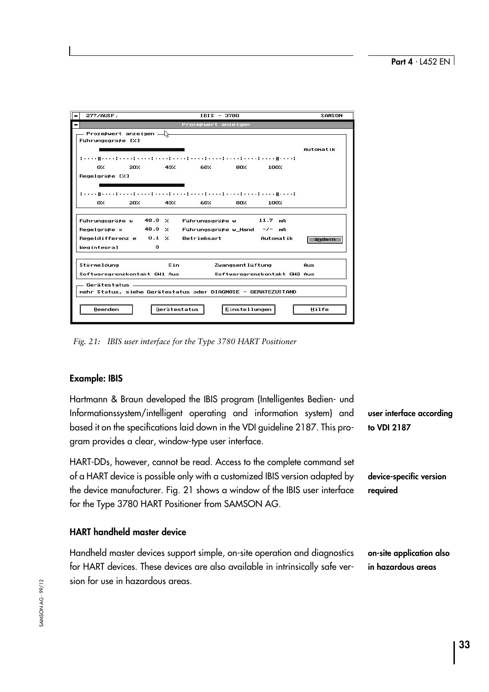<span id="page-32-0"></span>

| 277/AUSE.<br>$\,$                                                                                                                                   |              | $IRIS - 3780$           |                      |                                                      | SAMSON    |
|-----------------------------------------------------------------------------------------------------------------------------------------------------|--------------|-------------------------|----------------------|------------------------------------------------------|-----------|
|                                                                                                                                                     |              | Prozeßwert anzeigen     |                      |                                                      |           |
| $-$ Prozeßwert anzeigen $-\rangle$<br>Führungsgröße [%]                                                                                             |              |                         |                      |                                                      | Automatik |
| 医马克氏菌素 医马克氏试验检尿素 医马克氏菌 医马克氏菌 医马克氏菌素 医马克氏菌 医马克氏菌 医马克氏菌 医血管切除术 医骨折<br>20%<br>O%<br>Regelgröße [%]                                                     | 40%          | 60%                     | 80%                  | 100%                                                 |           |
| discovered to a condition of a constitution of a condition of the condition of the condition of the condition<br>20%<br>O.                          | 40%          | 60%                     | 80%                  | 100%                                                 |           |
| Führungsgröße w 48.0 %<br>Regelgröße $\times$ 48.0 % Führungsgröße w_Hand $-\angle$ - mA<br>Regeldifferenze $0.1 \times$ Betriebsart<br>Wegintegral | 0            | Führungsgröße w 11.7 mA |                      | Automatik                                            | andern    |
| <b>Störmeldung</b><br>Softwaregrenzkontakt GW1 Aus                                                                                                  | Ein          |                         |                      | Zwangsentlüftung Aus<br>Softwaregrenzkontakt GW2 Aus |           |
| . Gerätestatus _______<br>mehr Status, siehe Gerätestatus oder DIAGNOSE - GERATEZUSTAND                                                             |              |                         |                      |                                                      |           |
| Beenden                                                                                                                                             | Gerätestatus |                         | <b>Einstellungen</b> |                                                      | Hilfe     |

Fig. 21: IBIS user interface for the Type 3780 HART Positioner

## Example: IBIS

Hartmann & Braun developed the IBIS program (Intelligentes Bedien- und Informationssystem/intelligent operating and information system) and based it on the specifications laid down in the VDI guideline 2187. This program provides a clear, window-type user interface.

HART-DDs, however, cannot be read. Access to the complete command set of a HART device is possible only with a customized IBIS version adapted by the device manufacturer. Fig. 21 shows a window of the IBIS user interface for the Type 3780 HART Positioner from SAMSON AG.

## HART handheld master device

Handheld master devices support simple, on-site operation and diagnostics for HART devices. These devices are also available in intrinsically safe version for use in hazardous areas.

user interface according to VDI 2187

device-specific version required

on-site application also in hazardous areas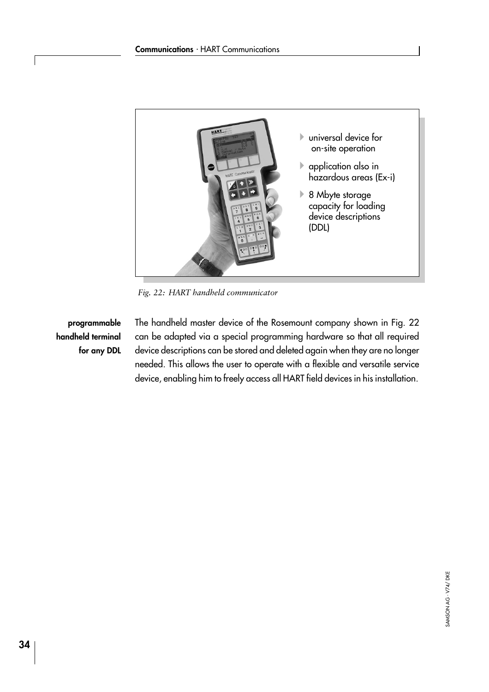<span id="page-33-0"></span>

Fig. 22: HART handheld communicator

programmable handheld terminal for any DDL

The handheld master device of the Rosemount company shown in Fig. 22 can be adapted via a special programming hardware so that all required device descriptions can be stored and deleted again when they are no longer needed. This allows the user to operate with a flexible and versatile service device, enabling him to freely access all HART field devices in his installation.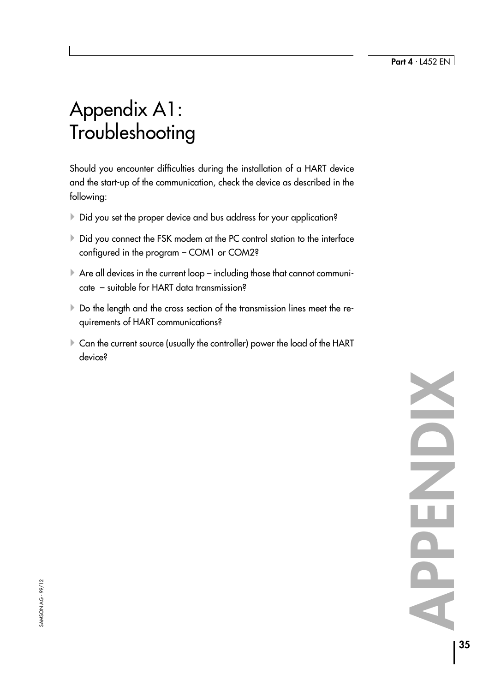# <span id="page-34-0"></span>Appendix A1: **Troubleshooting**

Should you encounter difficulties during the installation of a HART device and the start-up of the communication, check the device as described in the following:

- ▶ Did you set the proper device and bus address for your application?
- ▶ Did you connect the FSK modem at the PC control station to the interface configured in the program - COM1 or COM2?
- $\blacktriangleright$  Are all devices in the current loop including those that cannot communi- $\cot$  - suitable for HART data transmission?
- ▶ Do the length and the cross section of the transmission lines meet the requirements of HART communications?
- Exan the current source (usually the controller) power the load of the HART device?

APPENDIXONENCIA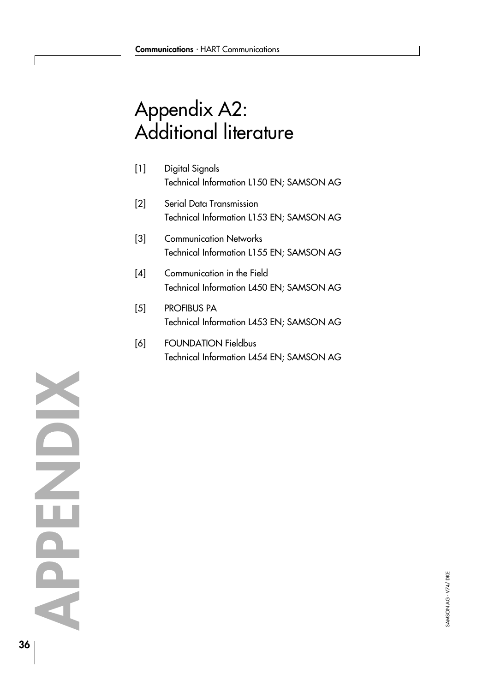# <span id="page-35-0"></span>Appendix A2: Additional literature

| $[1]$ | Digital Signals                          |
|-------|------------------------------------------|
|       | Technical Information L150 EN; SAMSON AG |

- [2] Serial Data Transmission Technical Information L153 EN; SAMSON AG
- [3] Communication Networks Technical Information L155 EN; SAMSON AG
- [4] Communication in the Field Technical Information L450 EN; SAMSON AG
- [5] PROFIBUS PA Technical Information L453 EN; SAMSON AG
- [6] FOUNDATION Fieldbus Technical Information L454 EN; SAMSON AG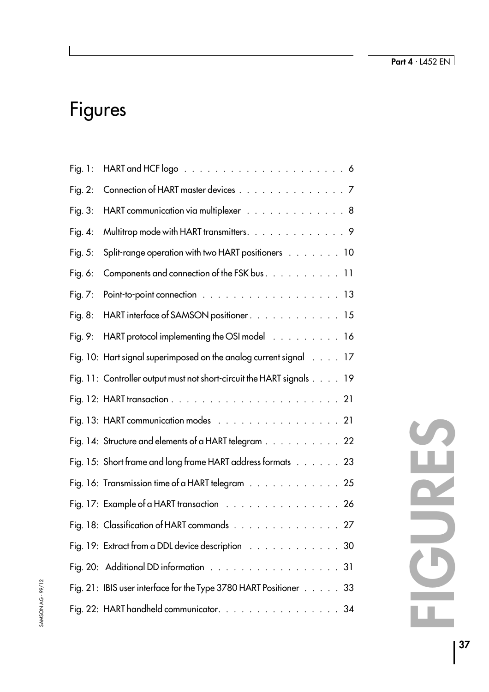# Figures

 $\overline{\phantom{a}}$ 

| Fig. $1:$  |                                                                       |
|------------|-----------------------------------------------------------------------|
| Fig. $2$ : | Connection of HART master devices 7                                   |
| Fig. 3:    | HART communication via multiplexer 8                                  |
| Fig. $4$ : | Multitrop mode with HART transmitters. 9                              |
| Fig. 5:    | Split-range operation with two HART positioners 10                    |
| Fig. $6:$  | Components and connection of the FSK bus. 11                          |
| Fig. $7:$  |                                                                       |
| Fig. $8:$  | HART interface of SAMSON positioner. 15                               |
| Fig. $9:$  | HART protocol implementing the OSI model 16                           |
|            | Fig. 10: Hart signal superimposed on the analog current signal 17     |
|            | Fig. 11: Controller output must not short-circuit the HART signals 19 |
|            |                                                                       |
|            | Fig. 13: HART communication modes 21                                  |
|            | Fig. 14: Structure and elements of a HART telegram 22                 |
|            | Fig. 15: Short frame and long frame HART address formats 23           |
|            | Fig. 16: Transmission time of a HART telegram 25                      |
|            | Fig. 17: Example of a HART transaction 26                             |
|            | Fig. 18: Classification of HART commands 27                           |
|            | Fig. 19: Extract from a DDL device description 30                     |
|            | Fig. 20: Additional DD information 31                                 |
|            | Fig. 21: IBIS user interface for the Type 3780 HART Positioner 33     |
|            | Fig. 22: HART handheld communicator. $\ldots$<br>34                   |

# FIGURES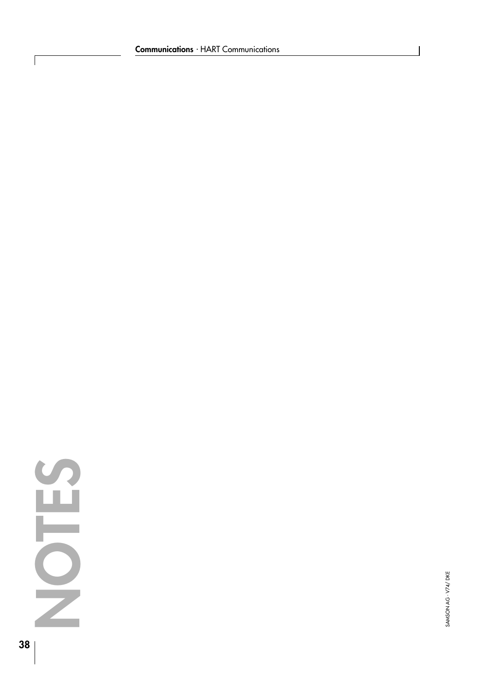

 $\sqrt{ }$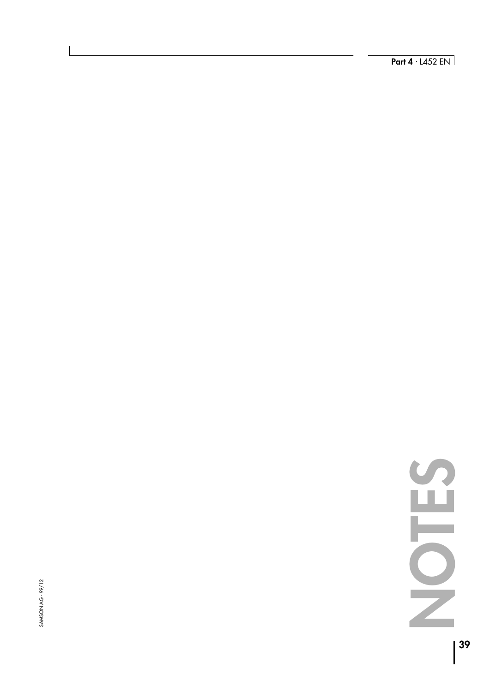**SAMSON AG - 99/12** SAMSON AG ⋅ 99/12

 $\overline{\phantom{a}}$ 

**Part 4** · L452 EN